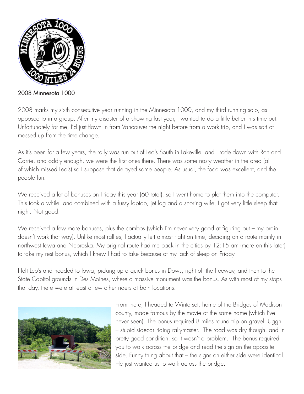

2008 Minnesota 1000

2008 marks my sixth consecutive year running in the Minnesota 1000, and my third running solo, as opposed to in a group. After my disaster of a showing last year, I wanted to do a little better this time out. Unfortunately for me, I'd just flown in from Vancouver the night before from a work trip, and I was sort of messed up from the time change.

As it's been for a few years, the rally was run out of Leo's South in Lakeville, and I rode down with Ron and Carrie, and oddly enough, we were the first ones there. There was some nasty weather in the area (all of which missed Leo's) so I suppose that delayed some people. As usual, the food was excellent, and the people fun.

We received a lot of bonuses on Friday this year (60 total), so I went home to plot them into the computer. This took a while, and combined with a fussy laptop, jet lag and a snoring wife, I got very little sleep that night. Not good.

We received a few more bonuses, plus the combos (which I'm never very good at figuring out – my brain doesn't work that way). Unlike most rallies, I actually left almost right on time, deciding on a route mainly in northwest Iowa and Nebraska. My original route had me back in the cities by 12:15 am (more on this later) to take my rest bonus, which I knew I had to take because of my lack of sleep on Friday.

I left Leo's and headed to Iowa, picking up a quick bonus in Dows, right off the freeway, and then to the State Capitol grounds in Des Moines, where a massive monument was the bonus. As with most of my stops that day, there were at least a few other riders at both locations.



From there, I headed to Winterset, home of the Bridges of Madison county, made famous by the movie of the same name (which I've never seen). The bonus required 8 miles round trip on gravel. Uggh – stupid sidecar riding rallymaster. The road was dry though, and in pretty good condition, so it wasn't a problem. The bonus required you to walk across the bridge and read the sign on the opposite side. Funny thing about that – the signs on either side were identical. He just wanted us to walk across the bridge.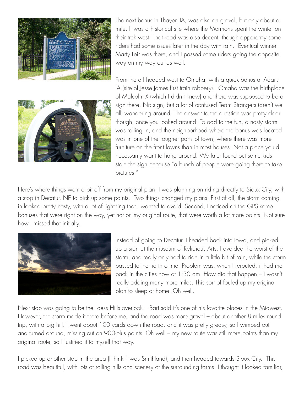

The next bonus in Thayer, IA, was also on gravel, but only about a mile. It was a historical site where the Mormons spent the winter on their trek west. That road was also decent, though apparently some riders had some issues later in the day with rain. Eventual winner Marty Leir was there, and I passed some riders going the opposite way on my way out as well.



From there I headed west to Omaha, with a quick bonus at Adair, IA (site of Jesse James first train robbery). Omaha was the birthplace of Malcolm X (which I didn't know) and there was supposed to be a sign there. No sign, but a lot of confused Team Strangers (aren't we all) wandering around. The answer to the question was pretty clear though, once you looked around. To add to the fun, a nasty storm was rolling in, and the neighborhood where the bonus was located was in one of the rougher parts of town, where there was more furniture on the front lawns than in most houses. Not a place you'd necessarily want to hang around. We later found out some kids stole the sign because "a bunch of people were going there to take pictures."

Here's where things went a bit off from my original plan. I was planning on riding directly to Sioux City, with a stop in Decatur, NE to pick up some points. Two things changed my plans. First of all, the storm coming in looked pretty nasty, with a lot of lightning that I wanted to avoid. Second, I noticed on the GPS some bonuses that were right on the way, yet not on my original route, that were worth a lot more points. Not sure how I missed that initially.



Instead of going to Decatur, I headed back into Iowa, and picked up a sign at the museum of Religious Arts. I avoided the worst of the storm, and really only had to ride in a little bit of rain, while the storm passed to the north of me. Problem was, when I rerouted, it had me back in the cities now at 1:30 am. How did that happen – I wasn't really adding many more miles. This sort of fouled up my original plan to sleep at home. Oh well.

Next stop was going to be the Loess Hills overlook – Bart said it's one of his favorite places in the Midwest. However, the storm made it there before me, and the road was more gravel – about another 8 miles round trip, with a big hill. I went about 100 yards down the road, and it was pretty greasy, so I wimped out and turned around, missing out on 900-plus points. Oh well – my new route was still more points than my original route, so I justified it to myself that way.

I picked up another stop in the area (I think it was Smithland), and then headed towards Sioux City. This road was beautiful, with lots of rolling hills and scenery of the surrounding farms. I thought it looked familiar,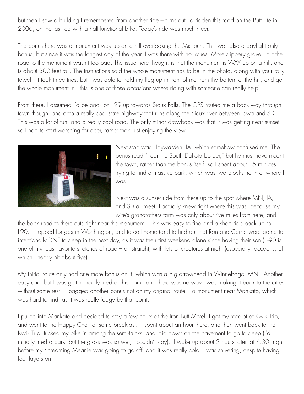but then I saw a building I remembered from another ride – turns out I'd ridden this road on the Butt Lite in 2006, on the last leg with a half-functional bike. Today's ride was much nicer.

The bonus here was a monument way up on a hill overlooking the Missouri. This was also a daylight only bonus, but since it was the longest day of the year, I was there with no issues. More slippery gravel, but the road to the monument wasn't too bad. The issue here though, is that the monument is WAY up on a hill, and is about 300 feet tall. The instructions said the whole monument has to be in the photo, along with your rally towel. It took three tries, but I was able to hold my flag up in front of me from the bottom of the hill, and get the whole monument in. (this is one of those occasions where riding with someone can really help).

From there, I assumed I'd be back on I-29 up towards Sioux Falls. The GPS routed me a back way through town though, and onto a really cool state highway that runs along the Sioux river between Iowa and SD. This was a lot of fun, and a really cool road. The only minor drawback was that it was getting near sunset so I had to start watching for deer, rather than just enjoying the view.



Next stop was Haywarden, IA, which somehow confused me. The bonus read "near the South Dakota border," but he must have meant the town, rather than the bonus itself, so I spent about 15 minutes trying to find a massive park, which was two blocks north of where I was.

Next was a sunset ride from there up to the spot where MN, IA, and SD all meet. I actually knew right where this was, because my wife's grandfathers farm was only about five miles from here, and

the back road to there cuts right near the monument. This was easy to find and a short ride back up to I-90. I stopped for gas in Worthington, and to call home (and to find out that Ron and Carrie were going to intentionally DNF to sleep in the next day, as it was their first weekend alone since having their son.) I-90 is one of my least favorite stretches of road – all straight, with lots of creatures at night (especially raccoons, of which I nearly hit about five).

My initial route only had one more bonus on it, which was a big arrowhead in Winnebago, MN. Another easy one, but I was getting really tired at this point, and there was no way I was making it back to the cities without some rest. I bagged another bonus not on my original route – a monument near Mankato, which was hard to find, as it was really foggy by that point.

I pulled into Mankato and decided to stay a few hours at the Iron Butt Motel. I got my receipt at Kwik Trip, and went to the Happy Chef for some breakfast. I spent about an hour there, and then went back to the Kwik Trip, tucked my bike in among the semi-trucks, and laid down on the pavement to go to sleep (I'd initially tried a park, but the grass was so wet, I couldn't stay). I woke up about 2 hours later, at 4:30, right before my Screaming Meanie was going to go off, and it was really cold. I was shivering, despite having four layers on.